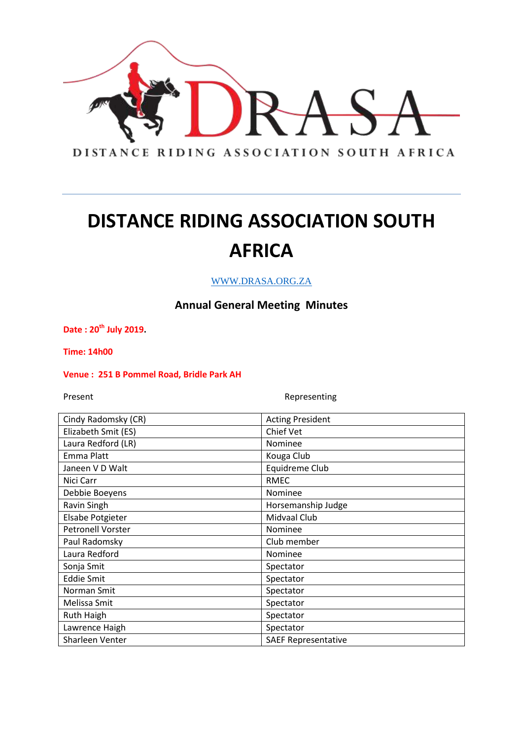

WWW.DRASA.ORG.ZA

### **Annual General Meeting Minutes**

**Date : 20th July 2019.**

**Time: 14h00**

#### **Venue : 251 B Pommel Road, Bridle Park AH**

Present **Representing** 

| <b>Acting President</b>    |
|----------------------------|
| Chief Vet                  |
| Nominee                    |
| Kouga Club                 |
| Equidreme Club             |
| <b>RMEC</b>                |
| Nominee                    |
| Horsemanship Judge         |
| Midvaal Club               |
| Nominee                    |
| Club member                |
| Nominee                    |
| Spectator                  |
| Spectator                  |
| Spectator                  |
| Spectator                  |
| Spectator                  |
| Spectator                  |
| <b>SAEF Representative</b> |
|                            |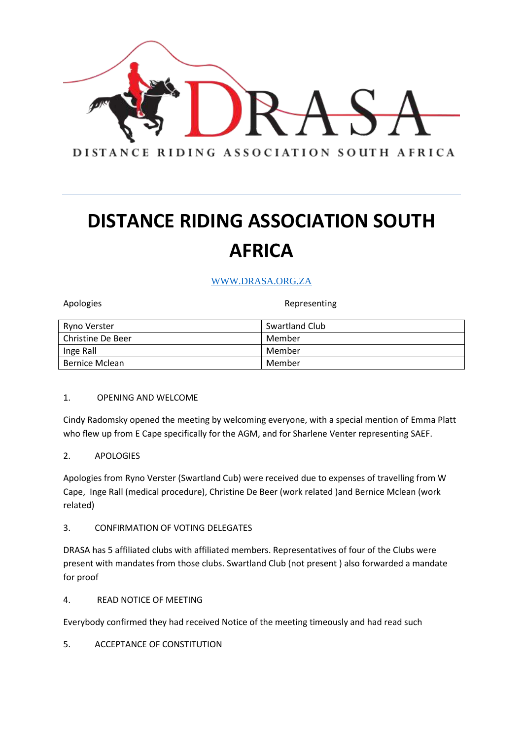

### WWW.DRASA.ORG.ZA

Apologies **Representing** 

| Ryno Verster      | Swartland Club |
|-------------------|----------------|
| Christine De Beer | Member         |
| Inge Rall         | Member         |
| Bernice Mclean    | Member         |

#### 1. OPENING AND WELCOME

Cindy Radomsky opened the meeting by welcoming everyone, with a special mention of Emma Platt who flew up from E Cape specifically for the AGM, and for Sharlene Venter representing SAEF.

### 2. APOLOGIES

Apologies from Ryno Verster (Swartland Cub) were received due to expenses of travelling from W Cape, Inge Rall (medical procedure), Christine De Beer (work related )and Bernice Mclean (work related)

#### 3. CONFIRMATION OF VOTING DELEGATES

DRASA has 5 affiliated clubs with affiliated members. Representatives of four of the Clubs were present with mandates from those clubs. Swartland Club (not present ) also forwarded a mandate for proof

### 4. READ NOTICE OF MEETING

Everybody confirmed they had received Notice of the meeting timeously and had read such

5. ACCEPTANCE OF CONSTITUTION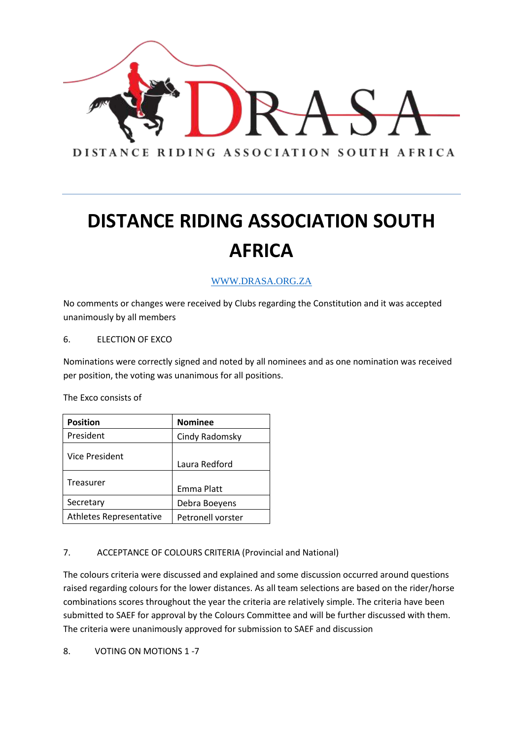

### WWW.DRASA.ORG.ZA

No comments or changes were received by Clubs regarding the Constitution and it was accepted unanimously by all members

#### 6. ELECTION OF EXCO

Nominations were correctly signed and noted by all nominees and as one nomination was received per position, the voting was unanimous for all positions.

The Exco consists of

| <b>Position</b>                | <b>Nominee</b>    |
|--------------------------------|-------------------|
| President                      | Cindy Radomsky    |
| Vice President                 | Laura Redford     |
| Treasurer                      | Emma Platt        |
| Secretary                      | Debra Boeyens     |
| <b>Athletes Representative</b> | Petronell vorster |

### 7. ACCEPTANCE OF COLOURS CRITERIA (Provincial and National)

The colours criteria were discussed and explained and some discussion occurred around questions raised regarding colours for the lower distances. As all team selections are based on the rider/horse combinations scores throughout the year the criteria are relatively simple. The criteria have been submitted to SAEF for approval by the Colours Committee and will be further discussed with them. The criteria were unanimously approved for submission to SAEF and discussion

8. VOTING ON MOTIONS 1 -7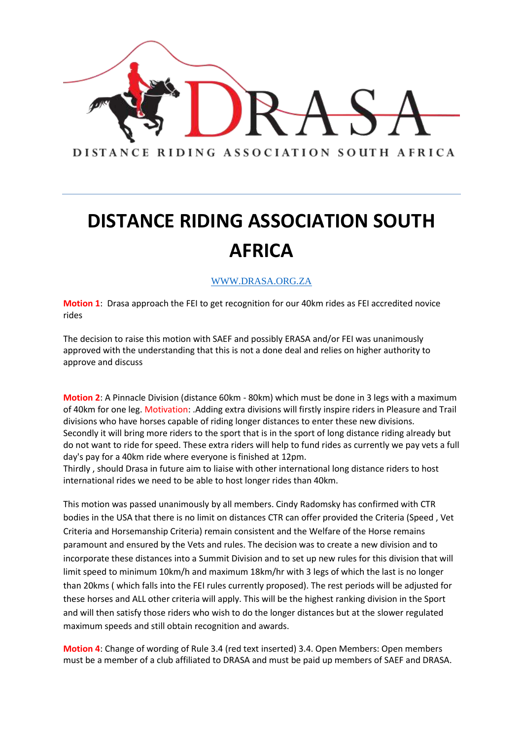

### WWW.DRASA.ORG.ZA

**Motion 1**: Drasa approach the FEI to get recognition for our 40km rides as FEI accredited novice rides

The decision to raise this motion with SAEF and possibly ERASA and/or FEI was unanimously approved with the understanding that this is not a done deal and relies on higher authority to approve and discuss

**Motion 2**: A Pinnacle Division (distance 60km - 80km) which must be done in 3 legs with a maximum of 40km for one leg. Motivation: .Adding extra divisions will firstly inspire riders in Pleasure and Trail divisions who have horses capable of riding longer distances to enter these new divisions. Secondly it will bring more riders to the sport that is in the sport of long distance riding already but do not want to ride for speed. These extra riders will help to fund rides as currently we pay vets a full day's pay for a 40km ride where everyone is finished at 12pm.

Thirdly , should Drasa in future aim to liaise with other international long distance riders to host international rides we need to be able to host longer rides than 40km.

This motion was passed unanimously by all members. Cindy Radomsky has confirmed with CTR bodies in the USA that there is no limit on distances CTR can offer provided the Criteria (Speed , Vet Criteria and Horsemanship Criteria) remain consistent and the Welfare of the Horse remains paramount and ensured by the Vets and rules. The decision was to create a new division and to incorporate these distances into a Summit Division and to set up new rules for this division that will limit speed to minimum 10km/h and maximum 18km/hr with 3 legs of which the last is no longer than 20kms ( which falls into the FEI rules currently proposed). The rest periods will be adjusted for these horses and ALL other criteria will apply. This will be the highest ranking division in the Sport and will then satisfy those riders who wish to do the longer distances but at the slower regulated maximum speeds and still obtain recognition and awards.

**Motion 4**: Change of wording of Rule 3.4 (red text inserted) 3.4. Open Members: Open members must be a member of a club affiliated to DRASA and must be paid up members of SAEF and DRASA.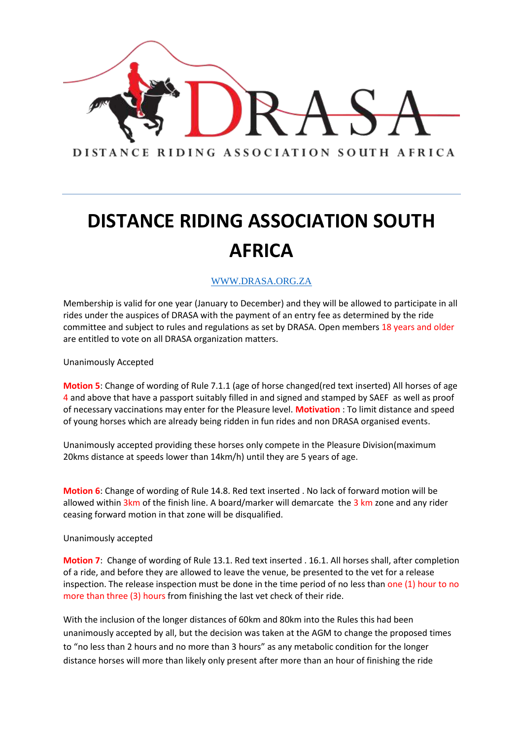

### WWW.DRASA.ORG.ZA

Membership is valid for one year (January to December) and they will be allowed to participate in all rides under the auspices of DRASA with the payment of an entry fee as determined by the ride committee and subject to rules and regulations as set by DRASA. Open members 18 years and older are entitled to vote on all DRASA organization matters.

Unanimously Accepted

**Motion 5**: Change of wording of Rule 7.1.1 (age of horse changed(red text inserted) All horses of age 4 and above that have a passport suitably filled in and signed and stamped by SAEF as well as proof of necessary vaccinations may enter for the Pleasure level. **Motivation** : To limit distance and speed of young horses which are already being ridden in fun rides and non DRASA organised events.

Unanimously accepted providing these horses only compete in the Pleasure Division(maximum 20kms distance at speeds lower than 14km/h) until they are 5 years of age.

**Motion 6**: Change of wording of Rule 14.8. Red text inserted . No lack of forward motion will be allowed within 3km of the finish line. A board/marker will demarcate the 3 km zone and any rider ceasing forward motion in that zone will be disqualified.

Unanimously accepted

**Motion 7**: Change of wording of Rule 13.1. Red text inserted . 16.1. All horses shall, after completion of a ride, and before they are allowed to leave the venue, be presented to the vet for a release inspection. The release inspection must be done in the time period of no less than one (1) hour to no more than three (3) hours from finishing the last vet check of their ride.

With the inclusion of the longer distances of 60km and 80km into the Rules this had been unanimously accepted by all, but the decision was taken at the AGM to change the proposed times to "no less than 2 hours and no more than 3 hours" as any metabolic condition for the longer distance horses will more than likely only present after more than an hour of finishing the ride